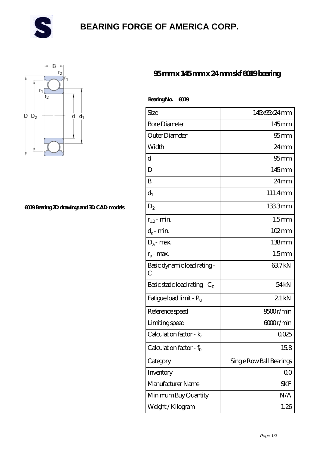

# **[BEARING FORGE OF AMERICA CORP.](https://danwei.tv)**



#### **[6019 Bearing 2D drawings and 3D CAD models](https://danwei.tv/pic-462546.html)**

### **[95 mm x 145 mm x 24 mm skf 6019 bearing](https://danwei.tv/skf-6019-bearing/)**

| BearingNo. | ന്നു |
|------------|------|
|------------|------|

| Size                                | 145x95x24mm              |
|-------------------------------------|--------------------------|
| <b>Bore Diameter</b>                | $145$ mm                 |
| Outer Diameter                      | 95mm                     |
| Width                               | 24 <sub>mm</sub>         |
| d                                   | $95$ mm                  |
| D                                   | $145$ mm                 |
| B                                   | $24 \,\mathrm{mm}$       |
| $d_1$                               | 111.4mm                  |
| $D_2$                               | 1333mm                   |
| $r_{1,2}$ - min.                    | 1.5 <sub>mm</sub>        |
| $d_a$ - min.                        | $102 \,\mathrm{mm}$      |
| $D_a$ - max.                        | $138 \text{mm}$          |
| $r_a$ - max.                        | 1.5 <sub>mm</sub>        |
| Basic dynamic load rating -<br>С    | 637kN                    |
| Basic static load rating - $C_0$    | 54 <sub>kN</sub>         |
| Fatigue load limit - P <sub>u</sub> | 21kN                     |
| Reference speed                     | 9500r/min                |
| Limiting speed                      | 6000r/min                |
| Calculation factor - $k_r$          | 0025                     |
| Calculation factor - f <sub>0</sub> | 158                      |
| Category                            | Single Row Ball Bearings |
| Inventory                           | 0 <sub>0</sub>           |
| Manufacturer Name                   | SKF                      |
| Minimum Buy Quantity                | N/A                      |
| Weight / Kilogram                   | 1.26                     |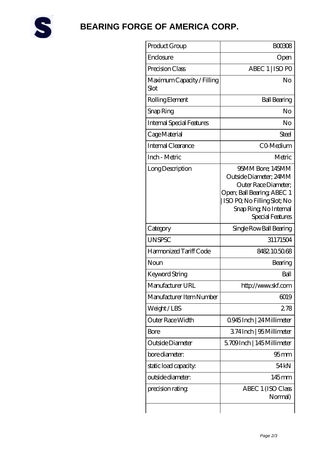

# **[BEARING FORGE OF AMERICA CORP.](https://danwei.tv)**

| Product Group                      | <b>BOO3O8</b>                                                                                                                                                                |
|------------------------------------|------------------------------------------------------------------------------------------------------------------------------------------------------------------------------|
| Enclosure                          | Open                                                                                                                                                                         |
| Precision Class                    | ABEC 1   ISO PO                                                                                                                                                              |
| Maximum Capacity / Filling<br>Slot | No                                                                                                                                                                           |
| Rolling Element                    | <b>Ball Bearing</b>                                                                                                                                                          |
| Snap Ring                          | No                                                                                                                                                                           |
| <b>Internal Special Features</b>   | No                                                                                                                                                                           |
| Cage Material                      | Steel                                                                                                                                                                        |
| Internal Clearance                 | CO-Medium                                                                                                                                                                    |
| Inch - Metric                      | Metric                                                                                                                                                                       |
| Long Description                   | 95MM Bore; 145MM<br>Outside Diameter; 24MM<br>Outer Race Diameter:<br>Open; Ball Bearing; ABEC 1<br>ISO PQ No Filling Slot; No<br>Snap Ring, No Internal<br>Special Features |
| Category                           | Single Row Ball Bearing                                                                                                                                                      |
| <b>UNSPSC</b>                      | 31171504                                                                                                                                                                     |
| Harmonized Tariff Code             | 8482105068                                                                                                                                                                   |
| Noun                               | Bearing                                                                                                                                                                      |
| Keyword String                     | Ball                                                                                                                                                                         |
| Manufacturer URL                   | http://www.skf.com                                                                                                                                                           |
| Manufacturer Item Number           | 6019                                                                                                                                                                         |
| Weight/LBS                         | 278                                                                                                                                                                          |
| Outer Race Width                   | 0945Inch   24 Millimeter                                                                                                                                                     |
| Bore                               | 374Inch   95 Millimeter                                                                                                                                                      |
| Outside Diameter                   | 5.709Inch   145Millimeter                                                                                                                                                    |
| bore diameter:                     | 95 <sub>mm</sub>                                                                                                                                                             |
| static load capacity.              | 54 <sub>kN</sub>                                                                                                                                                             |
| outside diameter:                  | $145$ <sub>mm</sub>                                                                                                                                                          |
| precision rating                   | ABEC 1 (ISO Class<br>Normal)                                                                                                                                                 |
|                                    |                                                                                                                                                                              |